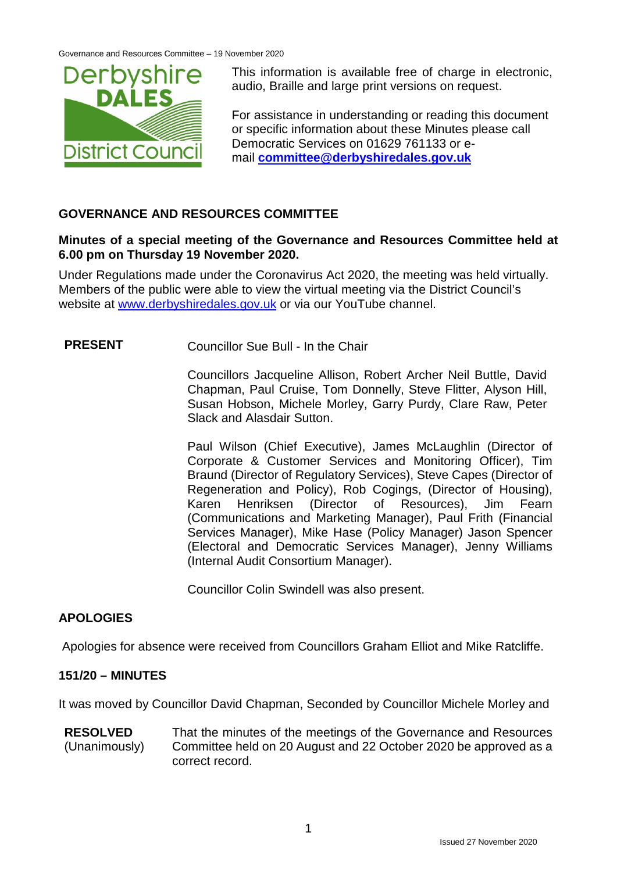

This information is available free of charge in electronic, audio, Braille and large print versions on request.

For assistance in understanding or reading this document or specific information about these Minutes please call Democratic Services on 01629 761133 or email **[committee@derbyshiredales.gov.uk](mailto:committee@derbyshiredales.gov.uk)**

# **GOVERNANCE AND RESOURCES COMMITTEE**

#### **Minutes of a special meeting of the Governance and Resources Committee held at 6.00 pm on Thursday 19 November 2020.**

Under Regulations made under the Coronavirus Act 2020, the meeting was held virtually. Members of the public were able to view the virtual meeting via the District Council's website at [www.derbyshiredales.gov.uk](http://www.derbyshiredales.gov.uk/) or via our YouTube channel.

# **PRESENT** Councillor Sue Bull - In the Chair

Councillors Jacqueline Allison, Robert Archer Neil Buttle, David Chapman, Paul Cruise, Tom Donnelly, Steve Flitter, Alyson Hill, Susan Hobson, Michele Morley, Garry Purdy, Clare Raw, Peter Slack and Alasdair Sutton.

Paul Wilson (Chief Executive), James McLaughlin (Director of Corporate & Customer Services and Monitoring Officer), Tim Braund (Director of Regulatory Services), Steve Capes (Director of Regeneration and Policy), Rob Cogings, (Director of Housing), Karen Henriksen (Director of Resources), Jim Fearn (Communications and Marketing Manager), Paul Frith (Financial Services Manager), Mike Hase (Policy Manager) Jason Spencer (Electoral and Democratic Services Manager), Jenny Williams (Internal Audit Consortium Manager).

Councillor Colin Swindell was also present.

# **APOLOGIES**

Apologies for absence were received from Councillors Graham Elliot and Mike Ratcliffe.

# **151/20 – MINUTES**

It was moved by Councillor David Chapman, Seconded by Councillor Michele Morley and

**RESOLVED** (Unanimously) That the minutes of the meetings of the Governance and Resources Committee held on 20 August and 22 October 2020 be approved as a correct record.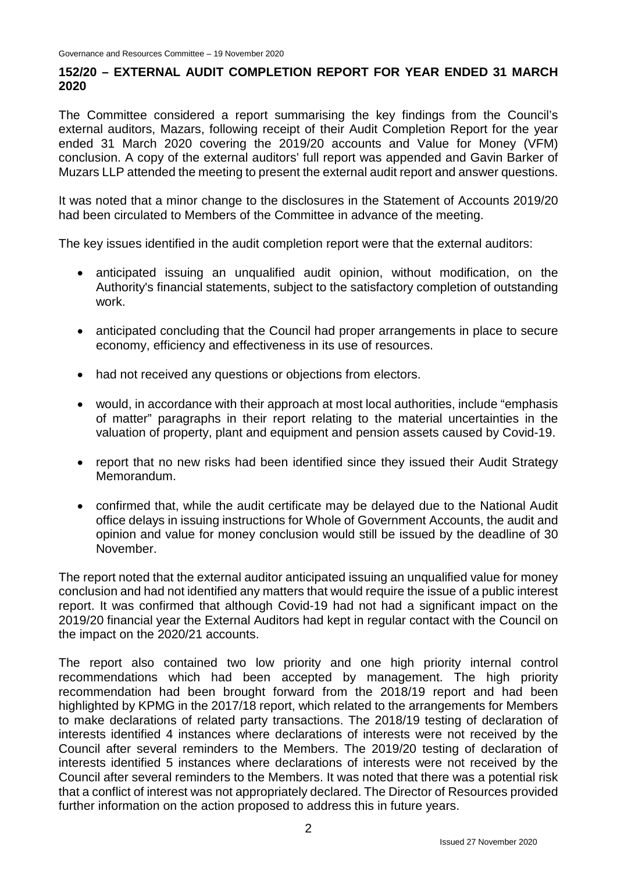#### **152/20 – EXTERNAL AUDIT COMPLETION REPORT FOR YEAR ENDED 31 MARCH 2020**

The Committee considered a report summarising the key findings from the Council's external auditors, Mazars, following receipt of their Audit Completion Report for the year ended 31 March 2020 covering the 2019/20 accounts and Value for Money (VFM) conclusion. A copy of the external auditors' full report was appended and Gavin Barker of Muzars LLP attended the meeting to present the external audit report and answer questions.

It was noted that a minor change to the disclosures in the Statement of Accounts 2019/20 had been circulated to Members of the Committee in advance of the meeting.

The key issues identified in the audit completion report were that the external auditors:

- anticipated issuing an unqualified audit opinion, without modification, on the Authority's financial statements, subject to the satisfactory completion of outstanding work.
- anticipated concluding that the Council had proper arrangements in place to secure economy, efficiency and effectiveness in its use of resources.
- had not received any questions or objections from electors.
- would, in accordance with their approach at most local authorities, include "emphasis of matter" paragraphs in their report relating to the material uncertainties in the valuation of property, plant and equipment and pension assets caused by Covid-19.
- report that no new risks had been identified since they issued their Audit Strategy Memorandum.
- confirmed that, while the audit certificate may be delayed due to the National Audit office delays in issuing instructions for Whole of Government Accounts, the audit and opinion and value for money conclusion would still be issued by the deadline of 30 November.

The report noted that the external auditor anticipated issuing an unqualified value for money conclusion and had not identified any matters that would require the issue of a public interest report. It was confirmed that although Covid-19 had not had a significant impact on the 2019/20 financial year the External Auditors had kept in regular contact with the Council on the impact on the 2020/21 accounts.

The report also contained two low priority and one high priority internal control recommendations which had been accepted by management. The high priority recommendation had been brought forward from the 2018/19 report and had been highlighted by KPMG in the 2017/18 report, which related to the arrangements for Members to make declarations of related party transactions. The 2018/19 testing of declaration of interests identified 4 instances where declarations of interests were not received by the Council after several reminders to the Members. The 2019/20 testing of declaration of interests identified 5 instances where declarations of interests were not received by the Council after several reminders to the Members. It was noted that there was a potential risk that a conflict of interest was not appropriately declared. The Director of Resources provided further information on the action proposed to address this in future years.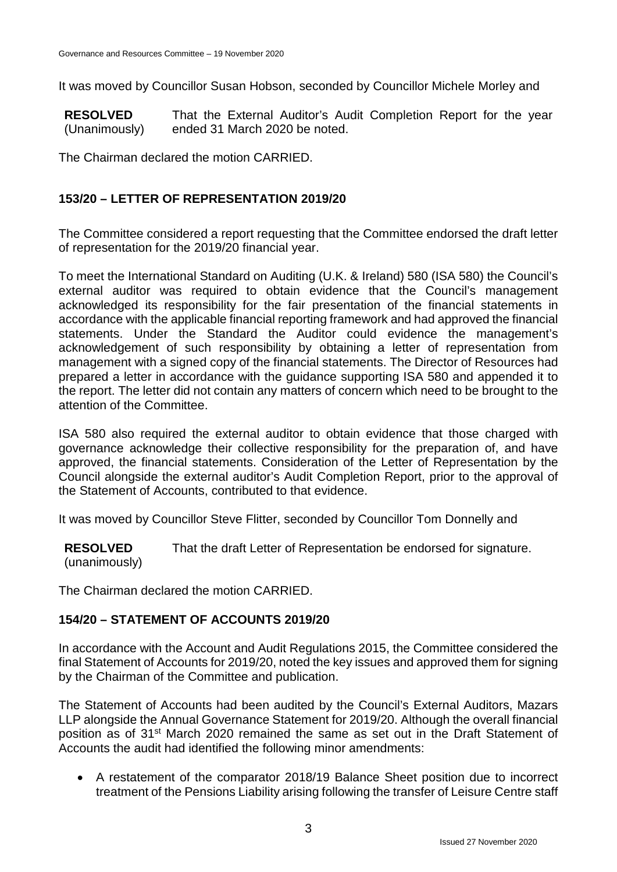It was moved by Councillor Susan Hobson, seconded by Councillor Michele Morley and

**RESOLVED** (Unanimously) That the External Auditor's Audit Completion Report for the year ended 31 March 2020 be noted.

The Chairman declared the motion CARRIED.

# **153/20 – LETTER OF REPRESENTATION 2019/20**

The Committee considered a report requesting that the Committee endorsed the draft letter of representation for the 2019/20 financial year.

To meet the International Standard on Auditing (U.K. & Ireland) 580 (ISA 580) the Council's external auditor was required to obtain evidence that the Council's management acknowledged its responsibility for the fair presentation of the financial statements in accordance with the applicable financial reporting framework and had approved the financial statements. Under the Standard the Auditor could evidence the management's acknowledgement of such responsibility by obtaining a letter of representation from management with a signed copy of the financial statements. The Director of Resources had prepared a letter in accordance with the guidance supporting ISA 580 and appended it to the report. The letter did not contain any matters of concern which need to be brought to the attention of the Committee.

ISA 580 also required the external auditor to obtain evidence that those charged with governance acknowledge their collective responsibility for the preparation of, and have approved, the financial statements. Consideration of the Letter of Representation by the Council alongside the external auditor's Audit Completion Report, prior to the approval of the Statement of Accounts, contributed to that evidence.

It was moved by Councillor Steve Flitter, seconded by Councillor Tom Donnelly and

**RESOLVED** (unanimously) That the draft Letter of Representation be endorsed for signature.

The Chairman declared the motion CARRIED.

# **154/20 – STATEMENT OF ACCOUNTS 2019/20**

In accordance with the Account and Audit Regulations 2015, the Committee considered the final Statement of Accounts for 2019/20, noted the key issues and approved them for signing by the Chairman of the Committee and publication.

The Statement of Accounts had been audited by the Council's External Auditors, Mazars LLP alongside the Annual Governance Statement for 2019/20. Although the overall financial position as of 31st March 2020 remained the same as set out in the Draft Statement of Accounts the audit had identified the following minor amendments:

• A restatement of the comparator 2018/19 Balance Sheet position due to incorrect treatment of the Pensions Liability arising following the transfer of Leisure Centre staff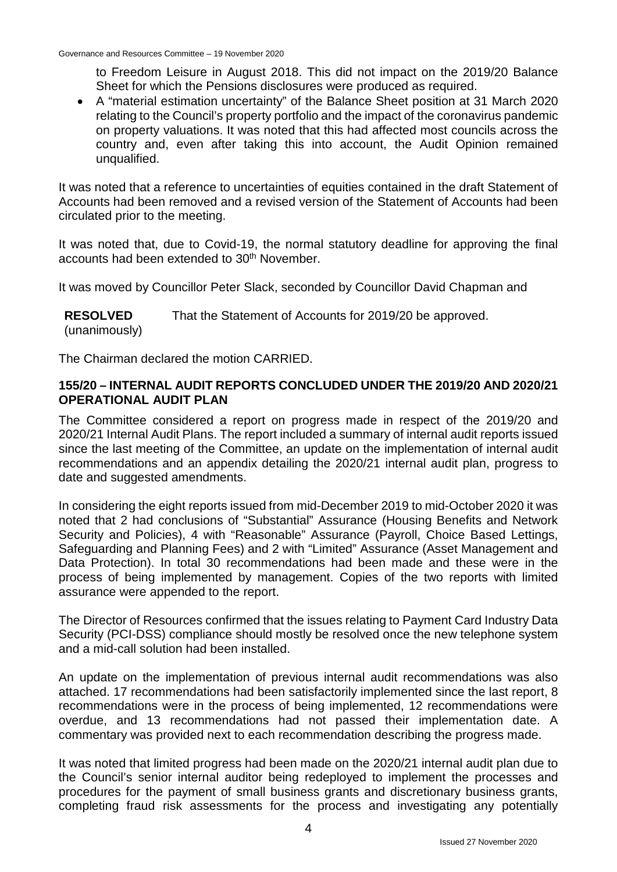to Freedom Leisure in August 2018. This did not impact on the 2019/20 Balance Sheet for which the Pensions disclosures were produced as required.

• A "material estimation uncertainty" of the Balance Sheet position at 31 March 2020 relating to the Council's property portfolio and the impact of the coronavirus pandemic on property valuations. It was noted that this had affected most councils across the country and, even after taking this into account, the Audit Opinion remained unqualified.

It was noted that a reference to uncertainties of equities contained in the draft Statement of Accounts had been removed and a revised version of the Statement of Accounts had been circulated prior to the meeting.

It was noted that, due to Covid-19, the normal statutory deadline for approving the final accounts had been extended to 30<sup>th</sup> November.

It was moved by Councillor Peter Slack, seconded by Councillor David Chapman and

**RESOLVED** (unanimously) That the Statement of Accounts for 2019/20 be approved.

The Chairman declared the motion CARRIED.

#### **155/20 – INTERNAL AUDIT REPORTS CONCLUDED UNDER THE 2019/20 AND 2020/21 OPERATIONAL AUDIT PLAN**

The Committee considered a report on progress made in respect of the 2019/20 and 2020/21 Internal Audit Plans. The report included a summary of internal audit reports issued since the last meeting of the Committee, an update on the implementation of internal audit recommendations and an appendix detailing the 2020/21 internal audit plan, progress to date and suggested amendments.

In considering the eight reports issued from mid-December 2019 to mid-October 2020 it was noted that 2 had conclusions of "Substantial" Assurance (Housing Benefits and Network Security and Policies), 4 with "Reasonable" Assurance (Payroll, Choice Based Lettings, Safeguarding and Planning Fees) and 2 with "Limited" Assurance (Asset Management and Data Protection). In total 30 recommendations had been made and these were in the process of being implemented by management. Copies of the two reports with limited assurance were appended to the report.

The Director of Resources confirmed that the issues relating to Payment Card Industry Data Security (PCI-DSS) compliance should mostly be resolved once the new telephone system and a mid-call solution had been installed.

An update on the implementation of previous internal audit recommendations was also attached. 17 recommendations had been satisfactorily implemented since the last report, 8 recommendations were in the process of being implemented, 12 recommendations were overdue, and 13 recommendations had not passed their implementation date. A commentary was provided next to each recommendation describing the progress made.

It was noted that limited progress had been made on the 2020/21 internal audit plan due to the Council's senior internal auditor being redeployed to implement the processes and procedures for the payment of small business grants and discretionary business grants, completing fraud risk assessments for the process and investigating any potentially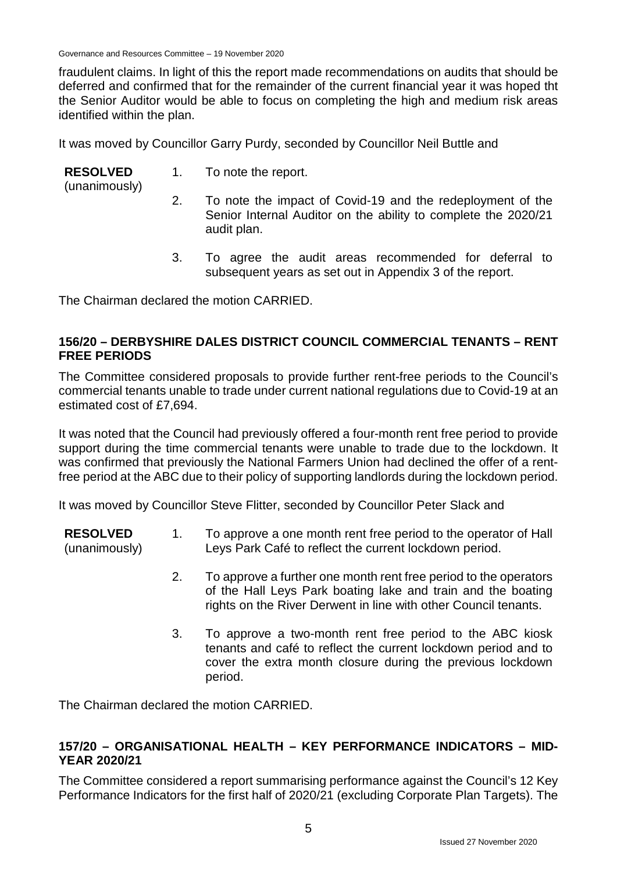Governance and Resources Committee – 19 November 2020

fraudulent claims. In light of this the report made recommendations on audits that should be deferred and confirmed that for the remainder of the current financial year it was hoped tht the Senior Auditor would be able to focus on completing the high and medium risk areas identified within the plan.

It was moved by Councillor Garry Purdy, seconded by Councillor Neil Buttle and

| <b>RESOLVED</b><br>(unanimously) |    | 1. To note the report.                                                                                                                      |
|----------------------------------|----|---------------------------------------------------------------------------------------------------------------------------------------------|
|                                  |    | To note the impact of Covid-19 and the redeployment of the<br>Senior Internal Auditor on the ability to complete the 2020/21<br>audit plan. |
|                                  | 3. | To agree the audit areas recommended for deferral to<br>subsequent years as set out in Appendix 3 of the report.                            |

The Chairman declared the motion CARRIED.

#### **156/20 – DERBYSHIRE DALES DISTRICT COUNCIL COMMERCIAL TENANTS – RENT FREE PERIODS**

The Committee considered proposals to provide further rent-free periods to the Council's commercial tenants unable to trade under current national regulations due to Covid-19 at an estimated cost of £7,694.

It was noted that the Council had previously offered a four-month rent free period to provide support during the time commercial tenants were unable to trade due to the lockdown. It was confirmed that previously the National Farmers Union had declined the offer of a rentfree period at the ABC due to their policy of supporting landlords during the lockdown period.

It was moved by Councillor Steve Flitter, seconded by Councillor Peter Slack and

- **RESOLVED** (unanimously) 1. To approve a one month rent free period to the operator of Hall Leys Park Café to reflect the current lockdown period.
	- 2. To approve a further one month rent free period to the operators of the Hall Leys Park boating lake and train and the boating rights on the River Derwent in line with other Council tenants.
	- 3. To approve a two-month rent free period to the ABC kiosk tenants and café to reflect the current lockdown period and to cover the extra month closure during the previous lockdown period.

The Chairman declared the motion CARRIED.

#### **157/20 – ORGANISATIONAL HEALTH – KEY PERFORMANCE INDICATORS – MID-YEAR 2020/21**

The Committee considered a report summarising performance against the Council's 12 Key Performance Indicators for the first half of 2020/21 (excluding Corporate Plan Targets). The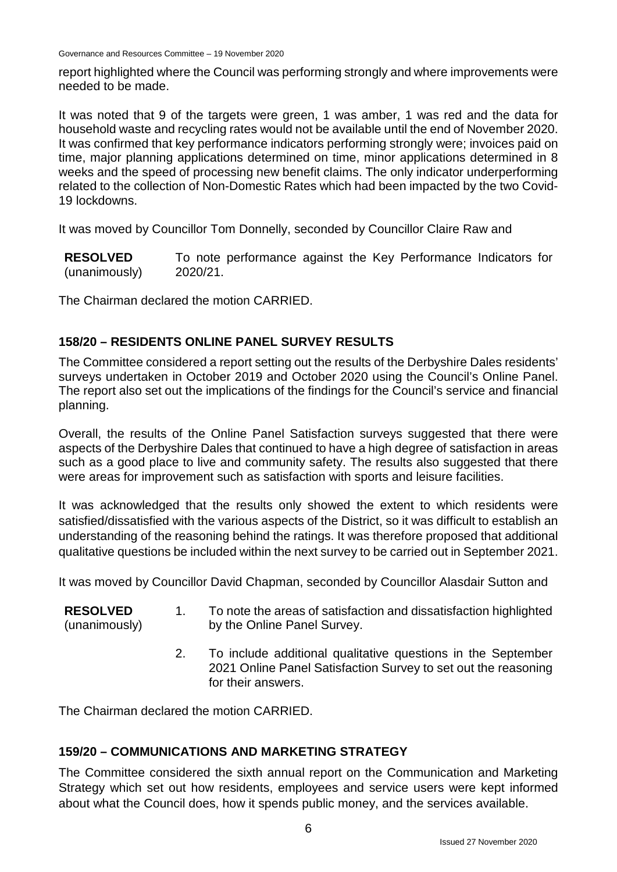Governance and Resources Committee – 19 November 2020

report highlighted where the Council was performing strongly and where improvements were needed to be made.

It was noted that 9 of the targets were green, 1 was amber, 1 was red and the data for household waste and recycling rates would not be available until the end of November 2020. It was confirmed that key performance indicators performing strongly were; invoices paid on time, major planning applications determined on time, minor applications determined in 8 weeks and the speed of processing new benefit claims. The only indicator underperforming related to the collection of Non-Domestic Rates which had been impacted by the two Covid-19 lockdowns.

It was moved by Councillor Tom Donnelly, seconded by Councillor Claire Raw and

**RESOLVED** (unanimously) To note performance against the Key Performance Indicators for 2020/21.

The Chairman declared the motion CARRIED.

# **158/20 – RESIDENTS ONLINE PANEL SURVEY RESULTS**

The Committee considered a report setting out the results of the Derbyshire Dales residents' surveys undertaken in October 2019 and October 2020 using the Council's Online Panel. The report also set out the implications of the findings for the Council's service and financial planning.

Overall, the results of the Online Panel Satisfaction surveys suggested that there were aspects of the Derbyshire Dales that continued to have a high degree of satisfaction in areas such as a good place to live and community safety. The results also suggested that there were areas for improvement such as satisfaction with sports and leisure facilities.

It was acknowledged that the results only showed the extent to which residents were satisfied/dissatisfied with the various aspects of the District, so it was difficult to establish an understanding of the reasoning behind the ratings. It was therefore proposed that additional qualitative questions be included within the next survey to be carried out in September 2021.

It was moved by Councillor David Chapman, seconded by Councillor Alasdair Sutton and

- **RESOLVED** (unanimously) 1. To note the areas of satisfaction and dissatisfaction highlighted by the Online Panel Survey.
	- 2. To include additional qualitative questions in the September 2021 Online Panel Satisfaction Survey to set out the reasoning for their answers.

The Chairman declared the motion CARRIED.

# **159/20 – COMMUNICATIONS AND MARKETING STRATEGY**

The Committee considered the sixth annual report on the Communication and Marketing Strategy which set out how residents, employees and service users were kept informed about what the Council does, how it spends public money, and the services available.